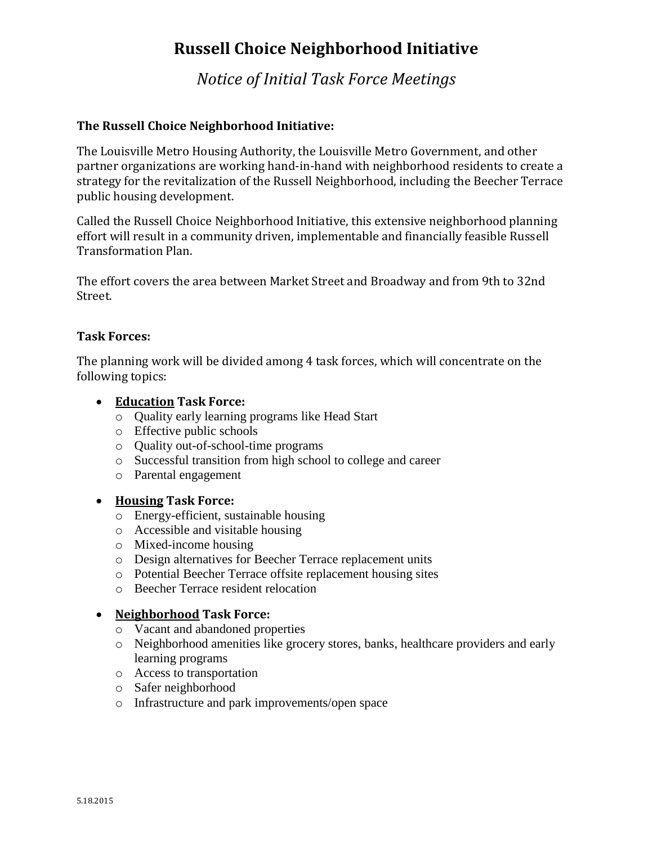# **Russell Choice Neighborhood Initiative**

## *Notice of Initial Task Force Meetings*

### **The Russell Choice Neighborhood Initiative:**

The Louisville Metro Housing Authority, the Louisville Metro Government, and other partner organizations are working hand-in-hand with neighborhood residents to create a strategy for the revitalization of the Russell Neighborhood, including the Beecher Terrace public housing development.

Called the Russell Choice Neighborhood Initiative, this extensive neighborhood planning effort will result in a community driven, implementable and financially feasible Russell Transformation Plan.

The effort covers the area between Market Street and Broadway and from 9th to 32nd Street.

#### **Task Forces:**

The planning work will be divided among 4 task forces, which will concentrate on the following topics:

#### **Education Task Force:**

- o Quality early learning programs like Head Start
- o Effective public schools
- o Quality out-of-school-time programs
- o Successful transition from high school to college and career
- o Parental engagement

#### **Housing Task Force:**

- o Energy-efficient, sustainable housing
- o Accessible and visitable housing
- o Mixed-income housing
- o Design alternatives for Beecher Terrace replacement units
- o Potential Beecher Terrace offsite replacement housing sites
- o Beecher Terrace resident relocation

#### **Neighborhood Task Force:**

- o Vacant and abandoned properties
- o Neighborhood amenities like grocery stores, banks, healthcare providers and early learning programs
- o Access to transportation
- o Safer neighborhood
- o Infrastructure and park improvements/open space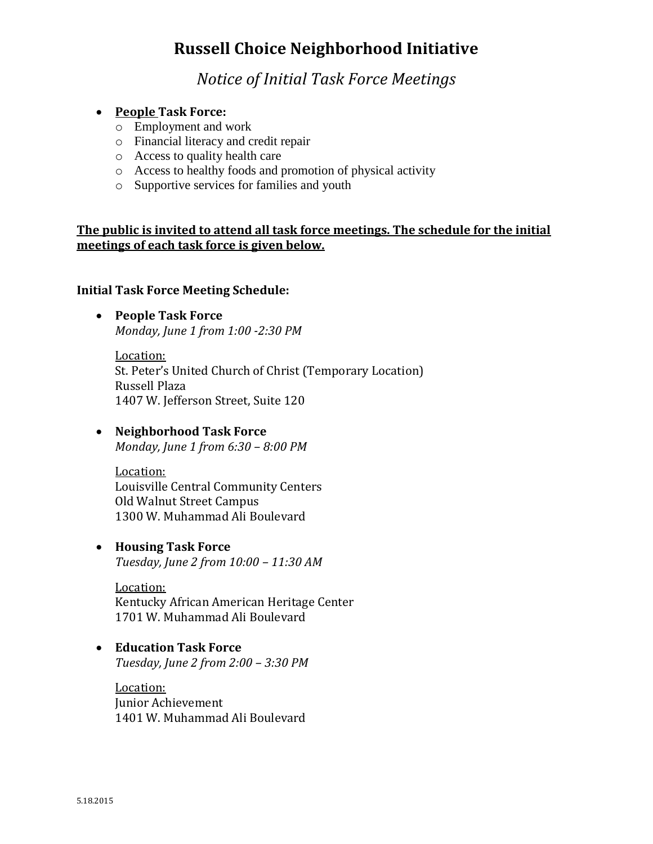# **Russell Choice Neighborhood Initiative**

*Notice of Initial Task Force Meetings*

#### **People Task Force:**

- o Employment and work
- o Financial literacy and credit repair
- o Access to quality health care
- o Access to healthy foods and promotion of physical activity
- o Supportive services for families and youth

### **The public is invited to attend all task force meetings. The schedule for the initial meetings of each task force is given below.**

#### **Initial Task Force Meeting Schedule:**

 **People Task Force** *Monday, June 1 from 1:00 -2:30 PM*

Location: St. Peter's United Church of Christ (Temporary Location) Russell Plaza 1407 W. Jefferson Street, Suite 120

#### **Neighborhood Task Force** *Monday, June 1 from 6:30 – 8:00 PM*

Location: Louisville Central Community Centers Old Walnut Street Campus 1300 W. Muhammad Ali Boulevard

### **Housing Task Force**

*Tuesday, June 2 from 10:00 – 11:30 AM*

Location: Kentucky African American Heritage Center 1701 W. Muhammad Ali Boulevard

#### **Education Task Force** *Tuesday, June 2 from 2:00 – 3:30 PM*

Location: Junior Achievement 1401 W. Muhammad Ali Boulevard